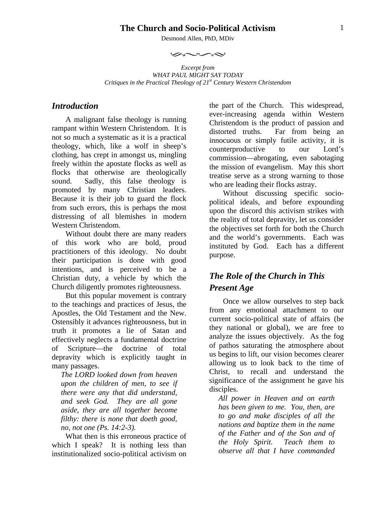#### **The Church and Socio-Political Activism**

Desmond Allen, PhD, MDiv

 $\sim$ 

*Excerpt from WHAT PAUL MIGHT SAY TODAY Critiques in the Practical Theology of 21st Century Western Christendom* 

### *Introduction*

A malignant false theology is running rampant within Western Christendom. It is not so much a systematic as it is a practical theology, which, like a wolf in sheep's clothing, has crept in amongst us, mingling freely within the apostate flocks as well as flocks that otherwise are theologically sound. Sadly, this false theology is promoted by many Christian leaders. Because it is their job to guard the flock from such errors, this is perhaps the most distressing of all blemishes in modern Western Christendom.

Without doubt there are many readers of this work who are bold, proud practitioners of this ideology. No doubt their participation is done with good intentions, and is perceived to be a Christian duty, a vehicle by which the Church diligently promotes righteousness.

But this popular movement is contrary to the teachings and practices of Jesus, the Apostles, the Old Testament and the New. Ostensibly it advances righteousness, but in truth it promotes a lie of Satan and effectively neglects a fundamental doctrine of Scripture—the doctrine of total depravity which is explicitly taught in many passages.

*The LORD looked down from heaven upon the children of men, to see if there were any that did understand, and seek God. They are all gone aside, they are all together become filthy: there is none that doeth good, no, not one (Ps. 14:2-3).* 

What then is this erroneous practice of which I speak? It is nothing less than institutionalized socio-political activism on

the part of the Church. This widespread, ever-increasing agenda within Western Christendom is the product of passion and distorted truths. Far from being an innocuous or simply futile activity, it is counterproductive to our Lord's commission—abrogating, even sabotaging the mission of evangelism. May this short treatise serve as a strong warning to those who are leading their flocks astray.

Without discussing specific sociopolitical ideals, and before expounding upon the discord this activism strikes with the reality of total depravity, let us consider the objectives set forth for both the Church and the world's governments. Each was instituted by God. Each has a different purpose.

# *The Role of the Church in This Present Age*

Once we allow ourselves to step back from any emotional attachment to our current socio-political state of affairs (be they national or global), we are free to analyze the issues objectively. As the fog of pathos saturating the atmosphere about us begins to lift, our vision becomes clearer allowing us to look back to the time of Christ, to recall and understand the significance of the assignment he gave his disciples.

*All power in Heaven and on earth has been given to me. You, then, are to go and make disciples of all the nations and baptize them in the name of the Father and of the Son and of the Holy Spirit. Teach them to observe all that I have commanded*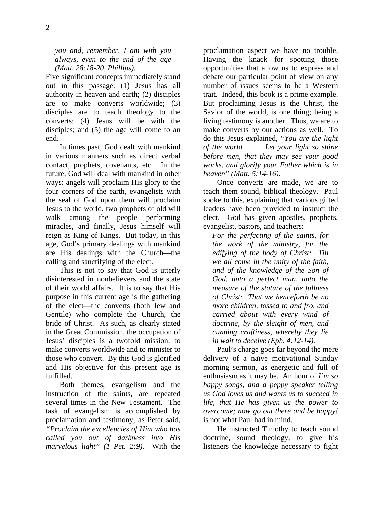*you and, remember, I am with you always, even to the end of the age (Matt. 28:18-20, Phillips).*

Five significant concepts immediately stand out in this passage: (1) Jesus has all authority in heaven and earth; (2) disciples are to make converts worldwide; (3) disciples are to teach theology to the converts; (4) Jesus will be with the disciples; and (5) the age will come to an end.

In times past, God dealt with mankind in various manners such as direct verbal contact, prophets, covenants, etc. In the future, God will deal with mankind in other ways: angels will proclaim His glory to the four corners of the earth, evangelists with the seal of God upon them will proclaim Jesus to the world, two prophets of old will walk among the people performing miracles, and finally, Jesus himself will reign as King of Kings. But today, in this age, God's primary dealings with mankind are His dealings with the Church—the calling and sanctifying of the elect.

This is not to say that God is utterly disinterested in nonbelievers and the state of their world affairs. It is to say that His purpose in this current age is the gathering of the elect—the converts (both Jew and Gentile) who complete the Church, the bride of Christ. As such, as clearly stated in the Great Commission, the occupation of Jesus' disciples is a twofold mission: to make converts worldwide and to minister to those who convert. By this God is glorified and His objective for this present age is fulfilled.

Both themes, evangelism and the instruction of the saints, are repeated several times in the New Testament. The task of evangelism is accomplished by proclamation and testimony, as Peter said, *"Proclaim the excellencies of Him who has called you out of darkness into His marvelous light" (1 Pet. 2:9).* With the

proclamation aspect we have no trouble. Having the knack for spotting those opportunities that allow us to express and debate our particular point of view on any number of issues seems to be a Western trait. Indeed, this book is a prime example. But proclaiming Jesus is the Christ, the Savior of the world, is one thing; being a living testimony is another. Thus, we are to make converts by our actions as well. To do this Jesus explained, *"You are the light of the world. . . . Let your light so shine before men, that they may see your good works, and glorify your Father which is in heaven" (Matt. 5:14-16).*

Once converts are made, we are to teach them sound, biblical theology. Paul spoke to this, explaining that various gifted leaders have been provided to instruct the elect. God has given apostles, prophets, evangelist, pastors, and teachers:

*For the perfecting of the saints, for the work of the ministry, for the edifying of the body of Christ: Till we all come in the unity of the faith, and of the knowledge of the Son of God, unto a perfect man, unto the measure of the stature of the fullness of Christ: That we henceforth be no more children, tossed to and fro, and carried about with every wind of doctrine, by the sleight of men, and cunning craftiness, whereby they lie in wait to deceive (Eph. 4:12-14).* 

Paul's charge goes far beyond the mere delivery of a naïve motivational Sunday morning sermon, as energetic and full of enthusiasm as it may be. An hour of *I'm so happy songs, and a peppy speaker telling us God loves us and wants us to succeed in life, that He has given us the power to overcome; now go out there and be happy!* is not what Paul had in mind.

He instructed Timothy to teach sound doctrine, sound theology, to give his listeners the knowledge necessary to fight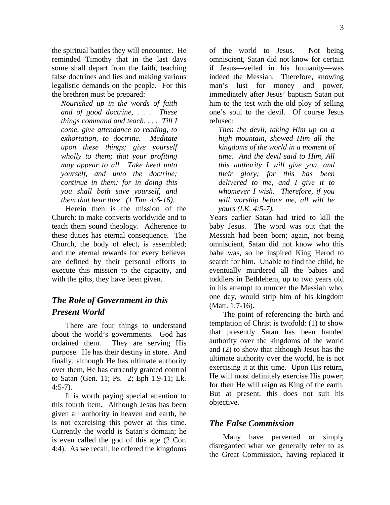3

the spiritual battles they will encounter. He reminded Timothy that in the last days some shall depart from the faith, teaching false doctrines and lies and making various legalistic demands on the people. For this the brethren must be prepared:

*Nourished up in the words of faith and of good doctrine, . . . These things command and teach. . . . Till I come, give attendance to reading, to exhortation, to doctrine. Meditate upon these things; give yourself wholly to them; that your profiting may appear to all. Take heed unto yourself, and unto the doctrine; continue in them: for in doing this you shall both save yourself, and them that hear thee. (1 Tim. 4:6-16).*

Herein then is the mission of the Church: to make converts worldwide and to teach them sound theology. Adherence to these duties has eternal consequence. The Church, the body of elect, is assembled; and the eternal rewards for every believer are defined by their personal efforts to execute this mission to the capacity, and with the gifts, they have been given.

# *The Role of Government in this Present World*

There are four things to understand about the world's governments. God has ordained them. They are serving His purpose. He has their destiny in store. And finally, although He has ultimate authority over them, He has currently granted control to Satan (Gen. 11; Ps. 2; Eph 1.9-11; Lk.  $4:5-7$ ).

It is worth paying special attention to this fourth item. Although Jesus has been given all authority in heaven and earth, he is not exercising this power at this time. Currently the world is Satan's domain; he is even called the god of this age (2 Cor. 4:4). As we recall, he offered the kingdoms

of the world to Jesus. Not being omniscient, Satan did not know for certain if Jesus—veiled in his humanity—was indeed the Messiah. Therefore, knowing man's lust for money and power, immediately after Jesus' baptism Satan put him to the test with the old ploy of selling one's soul to the devil. Of course Jesus refused:

*Then the devil, taking Him up on a high mountain, showed Him all the kingdoms of the world in a moment of time. And the devil said to Him, All this authority I will give you, and their glory; for this has been delivered to me, and I give it to whomever I wish. Therefore, if you will worship before me, all will be yours (LK. 4:5-7).*

Years earlier Satan had tried to kill the baby Jesus. The word was out that the Messiah had been born; again, not being omniscient, Satan did not know who this babe was, so he inspired King Herod to search for him. Unable to find the child, he eventually murdered all the babies and toddlers in Bethlehem, up to two years old in his attempt to murder the Messiah who, one day, would strip him of his kingdom (Matt. 1:7-16).

The point of referencing the birth and temptation of Christ is twofold: (1) to show that presently Satan has been handed authority over the kingdoms of the world and (2) to show that although Jesus has the ultimate authority over the world, he is not exercising it at this time. Upon His return, He will most definitely exercise His power; for then He will reign as King of the earth. But at present, this does not suit his objective.

### *The False Commission*

Many have perverted or simply disregarded what we generally refer to as the Great Commission, having replaced it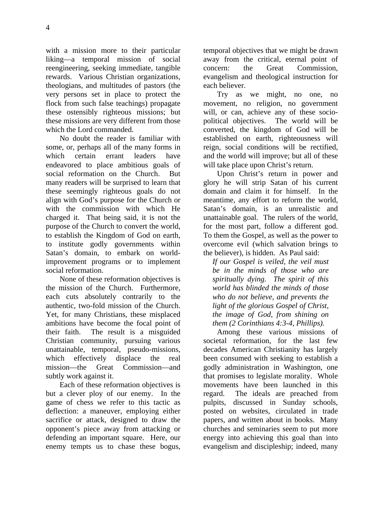with a mission more to their particular liking—a temporal mission of social reengineering, seeking immediate, tangible rewards. Various Christian organizations, theologians, and multitudes of pastors (the very persons set in place to protect the flock from such false teachings) propagate these ostensibly righteous missions; but these missions are very different from those which the Lord commanded.

No doubt the reader is familiar with some, or, perhaps all of the many forms in which certain errant leaders have endeavored to place ambitious goals of social reformation on the Church. But many readers will be surprised to learn that these seemingly righteous goals do not align with God's purpose for the Church or with the commission with which He charged it. That being said, it is not the purpose of the Church to convert the world, to establish the Kingdom of God on earth, to institute godly governments within Satan's domain, to embark on worldimprovement programs or to implement social reformation.

None of these reformation objectives is the mission of the Church. Furthermore, each cuts absolutely contrarily to the authentic, two-fold mission of the Church. Yet, for many Christians, these misplaced ambitions have become the focal point of their faith. The result is a misguided Christian community, pursuing various unattainable, temporal, pseudo-missions, which effectively displace the real mission—the Great Commission—and subtly work against it.

Each of these reformation objectives is but a clever ploy of our enemy. In the game of chess we refer to this tactic as deflection: a maneuver, employing either sacrifice or attack, designed to draw the opponent's piece away from attacking or defending an important square. Here, our enemy tempts us to chase these bogus, temporal objectives that we might be drawn away from the critical, eternal point of concern: the Great Commission, evangelism and theological instruction for each believer.

Try as we might, no one, no movement, no religion, no government will, or can, achieve any of these sociopolitical objectives. The world will be converted, the kingdom of God will be established on earth, righteousness will reign, social conditions will be rectified, and the world will improve; but all of these will take place upon Christ's return.

Upon Christ's return in power and glory he will strip Satan of his current domain and claim it for himself. In the meantime, any effort to reform the world, Satan's domain, is an unrealistic and unattainable goal. The rulers of the world, for the most part, follow a different god. To them the Gospel, as well as the power to overcome evil (which salvation brings to the believer), is hidden. As Paul said:

*If our Gospel is veiled, the veil must be in the minds of those who are spiritually dying. The spirit of this world has blinded the minds of those who do not believe, and prevents the light of the glorious Gospel of Christ, the image of God, from shining on them (2 Corinthians 4:3-4, Phillips).*

Among these various missions of societal reformation, for the last few decades American Christianity has largely been consumed with seeking to establish a godly administration in Washington, one that promises to legislate morality. Whole movements have been launched in this regard. The ideals are preached from pulpits, discussed in Sunday schools, posted on websites, circulated in trade papers, and written about in books. Many churches and seminaries seem to put more energy into achieving this goal than into evangelism and discipleship; indeed, many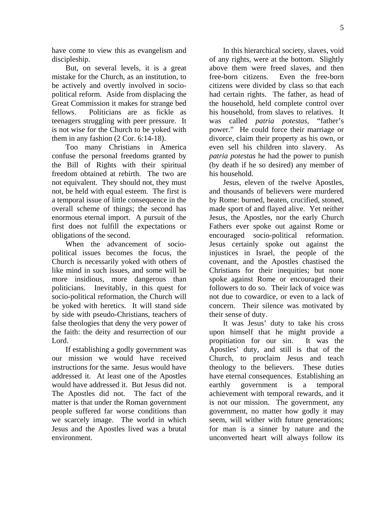have come to view this as evangelism and discipleship.

But, on several levels, it is a great mistake for the Church, as an institution, to be actively and overtly involved in sociopolitical reform. Aside from displacing the Great Commission it makes for strange bed fellows. Politicians are as fickle as teenagers struggling with peer pressure. It is not wise for the Church to be yoked with them in any fashion (2 Cor. 6:14-18).

Too many Christians in America confuse the personal freedoms granted by the Bill of Rights with their spiritual freedom obtained at rebirth. The two are not equivalent. They should not, they must not, be held with equal esteem. The first is a temporal issue of little consequence in the overall scheme of things; the second has enormous eternal import. A pursuit of the first does not fulfill the expectations or obligations of the second.

When the advancement of sociopolitical issues becomes the focus, the Church is necessarily yoked with others of like mind in such issues, and some will be more insidious, more dangerous than politicians. Inevitably, in this quest for socio-political reformation, the Church will be yoked with heretics. It will stand side by side with pseudo-Christians, teachers of false theologies that deny the very power of the faith: the deity and resurrection of our Lord.

If establishing a godly government was our mission we would have received instructions for the same. Jesus would have addressed it. At least one of the Apostles would have addressed it. But Jesus did not. The Apostles did not. The fact of the matter is that under the Roman government people suffered far worse conditions than we scarcely image. The world in which Jesus and the Apostles lived was a brutal environment.

In this hierarchical society, slaves, void of any rights, were at the bottom. Slightly above them were freed slaves, and then free-born citizens. Even the free-born citizens were divided by class so that each had certain rights. The father, as head of the household, held complete control over his household, from slaves to relatives. It was called *patria potestas*, "father's power." He could force their marriage or divorce, claim their property as his own, or even sell his children into slavery. As *patria potestas* he had the power to punish (by death if he so desired) any member of his household.

Jesus, eleven of the twelve Apostles, and thousands of believers were murdered by Rome: burned, beaten, crucified, stoned, made sport of and flayed alive. Yet neither Jesus, the Apostles, nor the early Church Fathers ever spoke out against Rome or encouraged socio-political reformation. Jesus certainly spoke out against the injustices in Israel, the people of the covenant, and the Apostles chastised the Christians for their inequities; but none spoke against Rome or encouraged their followers to do so. Their lack of voice was not due to cowardice, or even to a lack of concern. Their silence was motivated by their sense of duty.

It was Jesus' duty to take his cross upon himself that he might provide a propitiation for our sin. It was the Apostles' duty, and still is that of the Church, to proclaim Jesus and teach theology to the believers. These duties have eternal consequences. Establishing an earthly government is a temporal achievement with temporal rewards, and it is not our mission. The government, any government, no matter how godly it may seem, will wither with future generations; for man is a sinner by nature and the unconverted heart will always follow its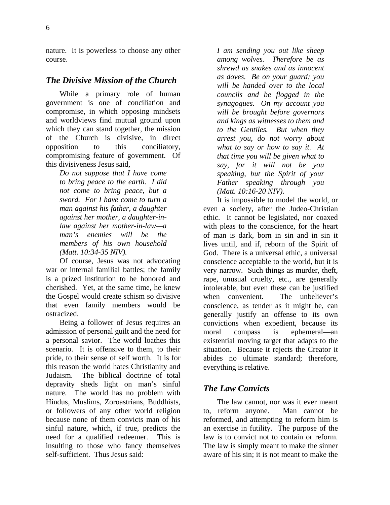nature. It is powerless to choose any other course.

#### *The Divisive Mission of the Church*

While a primary role of human government is one of conciliation and compromise, in which opposing mindsets and worldviews find mutual ground upon which they can stand together, the mission of the Church is divisive, in direct opposition to this conciliatory, compromising feature of government. Of this divisiveness Jesus said*,*

*Do not suppose that I have come to bring peace to the earth. I did not come to bring peace, but a sword. For I have come to turn a man against his father, a daughter against her mother, a daughter-inlaw against her mother-in-law—a man's enemies will be the members of his own household (Matt. 10:34-35 NIV).*

Of course, Jesus was not advocating war or internal familial battles; the family is a prized institution to be honored and cherished. Yet, at the same time, he knew the Gospel would create schism so divisive that even family members would be ostracized.

Being a follower of Jesus requires an admission of personal guilt and the need for a personal savior. The world loathes this scenario. It is offensive to them, to their pride, to their sense of self worth. It is for this reason the world hates Christianity and Judaism. The biblical doctrine of total depravity sheds light on man's sinful nature. The world has no problem with Hindus, Muslims, Zoroastrians, Buddhists, or followers of any other world religion because none of them convicts man of his sinful nature, which, if true, predicts the need for a qualified redeemer. This is insulting to those who fancy themselves self-sufficient. Thus Jesus said:

*I am sending you out like sheep among wolves. Therefore be as shrewd as snakes and as innocent as doves. Be on your guard; you will be handed over to the local councils and be flogged in the synagogues. On my account you will be brought before governors and kings as witnesses to them and to the Gentiles. But when they arrest you, do not worry about what to say or how to say it. At that time you will be given what to say, for it will not be you speaking, but the Spirit of your Father speaking through you (Matt. 10:16-20 NIV).* 

It is impossible to model the world, or even a society, after the Judeo-Christian ethic. It cannot be legislated, nor coaxed with pleas to the conscience, for the heart of man is dark, born in sin and in sin it lives until, and if, reborn of the Spirit of God. There is a universal ethic, a universal conscience acceptable to the world, but it is very narrow. Such things as murder, theft, rape, unusual cruelty, etc., are generally intolerable, but even these can be justified when convenient. The unbeliever's conscience, as tender as it might be, can generally justify an offense to its own convictions when expedient, because its moral compass is ephemeral—an existential moving target that adapts to the situation. Because it rejects the Creator it abides no ultimate standard; therefore, everything is relative.

### *The Law Convicts*

The law cannot, nor was it ever meant to, reform anyone. Man cannot be reformed, and attempting to reform him is an exercise in futility. The purpose of the law is to convict not to contain or reform. The law is simply meant to make the sinner aware of his sin; it is not meant to make the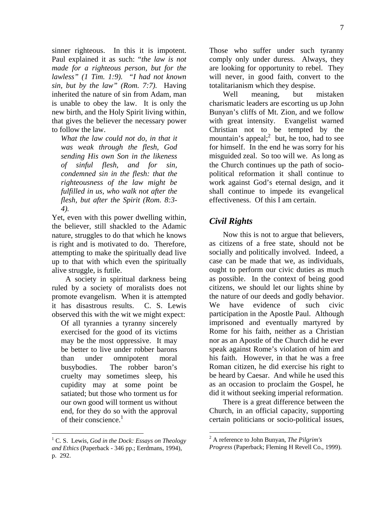sinner righteous. In this it is impotent. Paul explained it as such: "*the law is not made for a righteous person, but for the lawless" (1 Tim. 1:9). "I had not known sin, but by the law" (Rom. 7:7).* Having inherited the nature of sin from Adam, man is unable to obey the law. It is only the new birth, and the Holy Spirit living within, that gives the believer the necessary power to follow the law.

*What the law could not do, in that it was weak through the flesh, God sending His own Son in the likeness of sinful flesh, and for sin, condemned sin in the flesh: that the righteousness of the law might be fulfilled in us, who walk not after the flesh, but after the Spirit (Rom. 8:3- 4).* 

Yet, even with this power dwelling within, the believer, still shackled to the Adamic nature, struggles to do that which he knows is right and is motivated to do. Therefore, attempting to make the spiritually dead live up to that with which even the spiritually alive struggle, is futile.

A society in spiritual darkness being ruled by a society of moralists does not promote evangelism. When it is attempted it has disastrous results. C. S. Lewis observed this with the wit we might expect:

Of all tyrannies a tyranny sincerely exercised for the good of its victims may be the most oppressive. It may be better to live under robber barons than under omnipotent moral busybodies. The robber baron's cruelty may sometimes sleep, his cupidity may at some point be satiated; but those who torment us for our own good will torment us without end, for they do so with the approval of their conscience.<sup>1</sup>

1

Those who suffer under such tyranny comply only under duress. Always, they are looking for opportunity to rebel. They will never, in good faith, convert to the totalitarianism which they despise.

Well meaning, but mistaken charismatic leaders are escorting us up John Bunyan's cliffs of Mt. Zion, and we follow with great intensity. Evangelist warned Christian not to be tempted by the mountain's appeal; but, he too, had to see for himself. In the end he was sorry for his misguided zeal. So too will we. As long as the Church continues up the path of sociopolitical reformation it shall continue to work against God's eternal design, and it shall continue to impede its evangelical effectiveness. Of this I am certain.

### *Civil Rights*

Now this is not to argue that believers, as citizens of a free state, should not be socially and politically involved. Indeed, a case can be made that we, as individuals, ought to perform our civic duties as much as possible. In the context of being good citizens, we should let our lights shine by the nature of our deeds and godly behavior. We have evidence of such civic participation in the Apostle Paul. Although imprisoned and eventually martyred by Rome for his faith, neither as a Christian nor as an Apostle of the Church did he ever speak against Rome's violation of him and his faith. However, in that he was a free Roman citizen, he did exercise his right to be heard by Caesar. And while he used this as an occasion to proclaim the Gospel, he did it without seeking imperial reformation.

There is a great difference between the Church, in an official capacity, supporting certain politicians or socio-political issues,

 $\overline{a}$ 

<sup>1</sup> C. S. Lewis, *God in the Dock: Essays on Theology and Ethics* (Paperback - 346 pp.; Eerdmans, 1994), p. 292.

<sup>2</sup> A reference to John Bunyan, *The Pilgrim's* 

*Progress* (Paperback; Fleming H Revell Co., 1999).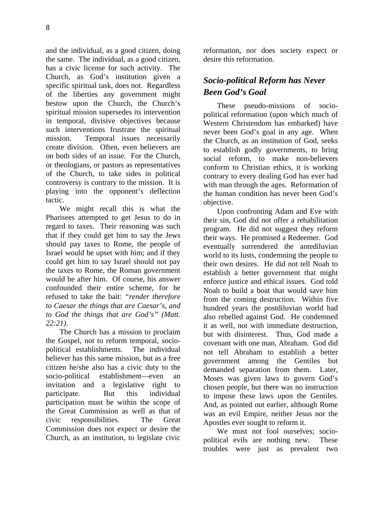and the individual, as a good citizen, doing the same. The individual, as a good citizen, has a civic license for such activity. The Church, as God's institution given a specific spiritual task, does not. Regardless of the liberties any government might bestow upon the Church, the Church's spiritual mission supersedes its intervention in temporal, divisive objectives because such interventions frustrate the spiritual mission. Temporal issues necessarily create division. Often, even believers are on both sides of an issue. For the Church, or theologians, or pastors as representatives of the Church, to take sides in political controversy is contrary to the mission. It is playing into the opponent's deflection tactic.

We might recall this is what the Pharisees attempted to get Jesus to do in regard to taxes. Their reasoning was such that if they could get him to say the Jews should pay taxes to Rome, the people of Israel would be upset with him; and if they could get him to say Israel should not pay the taxes to Rome, the Roman government would be after him. Of course, his answer confounded their entire scheme, for he refused to take the bait: *"render therefore to Caesar the things that are Caesar's, and to God the things that are God's" (Matt. 22:21)*.

The Church has a mission to proclaim the Gospel, not to reform temporal, sociopolitical establishments. The individual believer has this same mission, but as a free citizen he/she also has a civic duty to the socio-political establishment—even an invitation and a legislative right to participate. But this individual participation must be within the scope of the Great Commission as well as that of civic responsibilities. The Great Commission does not expect or desire the Church, as an institution, to legislate civic reformation, nor does society expect or desire this reformation.

# *Socio-political Reform has Never Been God's Goal*

These pseudo-missions of sociopolitical reformation (upon which much of Western Christendom has embarked) have never been God's goal in any age. When the Church, as an institution of God, seeks to establish godly governments, to bring social reform, to make non-believers conform to Christian ethics, it is working contrary to every dealing God has ever had with man through the ages. Reformation of the human condition has never been God's objective.

Upon confronting Adam and Eve with their sin, God did not offer a rehabilitation program. He did not suggest they reform their ways. He promised a Redeemer. God eventually surrendered the antediluvian world to its lusts, condemning the people to their own desires. He did not tell Noah to establish a better government that might enforce justice and ethical issues. God told Noah to build a boat that would save him from the coming destruction. Within five hundred years the postdiluvian world had also rebelled against God. He condemned it as well, not with immediate destruction, but with disinterest. Thus, God made a covenant with one man, Abraham. God did not tell Abraham to establish a better government among the Gentiles but demanded separation from them. Later, Moses was given laws to govern God's chosen people, but there was no instruction to impose these laws upon the Gentiles. And, as pointed out earlier, although Rome was an evil Empire, neither Jesus nor the Apostles ever sought to reform it.

We must not fool ourselves; sociopolitical evils are nothing new. These troubles were just as prevalent two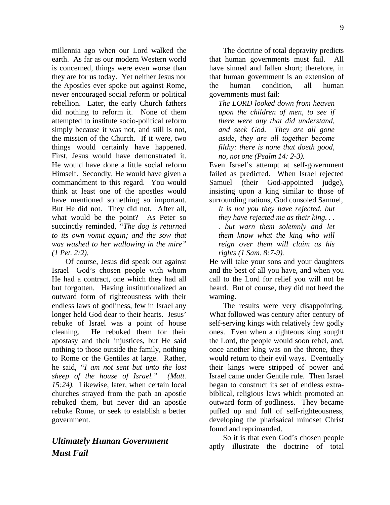millennia ago when our Lord walked the earth. As far as our modern Western world is concerned, things were even worse than they are for us today. Yet neither Jesus nor the Apostles ever spoke out against Rome, never encouraged social reform or political rebellion. Later, the early Church fathers did nothing to reform it. None of them attempted to institute socio-political reform simply because it was not, and still is not, the mission of the Church. If it were, two things would certainly have happened. First, Jesus would have demonstrated it. He would have done a little social reform Himself. Secondly, He would have given a commandment to this regard. You would think at least one of the apostles would have mentioned something so important. But He did not. They did not. After all, what would be the point? As Peter so succinctly reminded, *"The dog is returned to its own vomit again; and the sow that was washed to her wallowing in the mire" (1 Pet. 2:2).*

Of course, Jesus did speak out against Israel—God's chosen people with whom He had a contract, one which they had all but forgotten. Having institutionalized an outward form of righteousness with their endless laws of godliness, few in Israel any longer held God dear to their hearts. Jesus' rebuke of Israel was a point of house cleaning. He rebuked them for their apostasy and their injustices, but He said nothing to those outside the family, nothing to Rome or the Gentiles at large. Rather, he said, *"I am not sent but unto the lost sheep of the house of Israel." (Matt. 15:24).* Likewise, later, when certain local churches strayed from the path an apostle rebuked them, but never did an apostle rebuke Rome, or seek to establish a better government.

# *Ultimately Human Government Must Fail*

The doctrine of total depravity predicts that human governments must fail. All have sinned and fallen short; therefore, in that human government is an extension of the human condition, all human governments must fail:

*The LORD looked down from heaven upon the children of men, to see if there were any that did understand, and seek God. They are all gone aside, they are all together become filthy: there is none that doeth good, no, not one (Psalm 14: 2-3).* 

Even Israel's attempt at self-government failed as predicted. When Israel rejected Samuel (their God-appointed judge), insisting upon a king similar to those of surrounding nations, God consoled Samuel,

*It is not you they have rejected, but they have rejected me as their king. . . . but warn them solemnly and let them know what the king who will reign over them will claim as his rights (1 Sam. 8:7-9).*

He will take your sons and your daughters and the best of all you have, and when you call to the Lord for relief you will not be heard. But of course, they did not heed the warning.

The results were very disappointing. What followed was century after century of self-serving kings with relatively few godly ones. Even when a righteous king sought the Lord, the people would soon rebel, and, once another king was on the throne, they would return to their evil ways. Eventually their kings were stripped of power and Israel came under Gentile rule. Then Israel began to construct its set of endless extrabiblical, religious laws which promoted an outward form of godliness. They became puffed up and full of self-righteousness, developing the pharisaical mindset Christ found and reprimanded.

So it is that even God's chosen people aptly illustrate the doctrine of total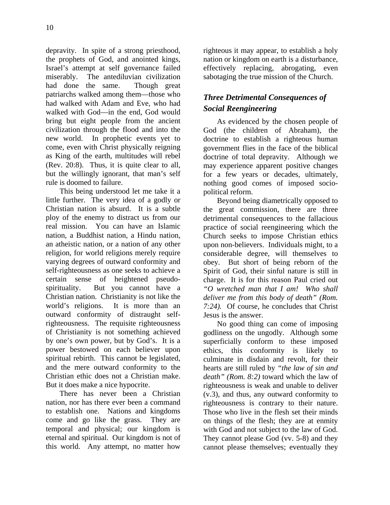depravity. In spite of a strong priesthood, the prophets of God, and anointed kings, Israel's attempt at self governance failed miserably. The antediluvian civilization had done the same. Though great patriarchs walked among them—those who had walked with Adam and Eve, who had walked with God—in the end, God would bring but eight people from the ancient civilization through the flood and into the new world. In prophetic events yet to come, even with Christ physically reigning as King of the earth, multitudes will rebel (Rev. 20:8). Thus, it is quite clear to all, but the willingly ignorant, that man's self rule is doomed to failure.

This being understood let me take it a little further. The very idea of a godly or Christian nation is absurd. It is a subtle ploy of the enemy to distract us from our real mission. You can have an Islamic nation, a Buddhist nation, a Hindu nation, an atheistic nation, or a nation of any other religion, for world religions merely require varying degrees of outward conformity and self-righteousness as one seeks to achieve a certain sense of heightened pseudospirituality. But you cannot have a Christian nation. Christianity is not like the world's religions. It is more than an outward conformity of distraught selfrighteousness. The requisite righteousness of Christianity is not something achieved by one's own power, but by God's. It is a power bestowed on each believer upon spiritual rebirth. This cannot be legislated, and the mere outward conformity to the Christian ethic does not a Christian make. But it does make a nice hypocrite.

There has never been a Christian nation, nor has there ever been a command to establish one. Nations and kingdoms come and go like the grass. They are temporal and physical; our kingdom is eternal and spiritual. Our kingdom is not of this world. Any attempt, no matter how righteous it may appear, to establish a holy nation or kingdom on earth is a disturbance, effectively replacing, abrogating, even sabotaging the true mission of the Church.

# *Three Detrimental Consequences of Social Reengineering*

As evidenced by the chosen people of God (the children of Abraham), the doctrine to establish a righteous human government flies in the face of the biblical doctrine of total depravity. Although we may experience apparent positive changes for a few years or decades, ultimately, nothing good comes of imposed sociopolitical reform.

Beyond being diametrically opposed to the great commission, there are three detrimental consequences to the fallacious practice of social reengineering which the Church seeks to impose Christian ethics upon non-believers. Individuals might, to a considerable degree, will themselves to obey. But short of being reborn of the Spirit of God, their sinful nature is still in charge. It is for this reason Paul cried out *"O wretched man that I am! Who shall deliver me from this body of death" (Rom. 7:24).* Of course, he concludes that Christ Jesus is the answer.

No good thing can come of imposing godliness on the ungodly. Although some superficially conform to these imposed ethics, this conformity is likely to culminate in disdain and revolt, for their hearts are still ruled by *"the law of sin and death" (Rom. 8:2)* toward which the law of righteousness is weak and unable to deliver (v.3), and thus, any outward conformity to righteousness is contrary to their nature. Those who live in the flesh set their minds on things of the flesh; they are at enmity with God and not subject to the law of God. They cannot please God (vv. 5-8) and they cannot please themselves; eventually they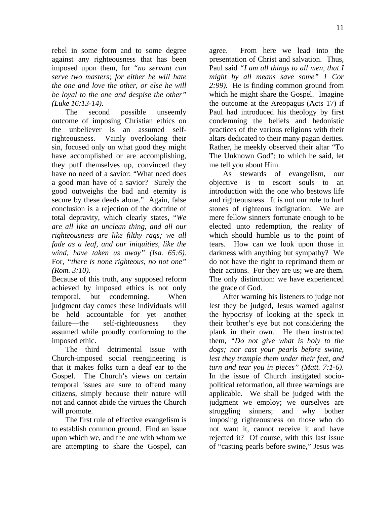rebel in some form and to some degree against any righteousness that has been imposed upon them, for *"no servant can serve two masters; for either he will hate the one and love the other, or else he will be loyal to the one and despise the other" (Luke 16:13-14)*.

The second possible unseemly outcome of imposing Christian ethics on the unbeliever is an assumed selfrighteousness. Vainly overlooking their sin, focused only on what good they might have accomplished or are accomplishing, they puff themselves up, convinced they have no need of a savior: "What need does a good man have of a savior? Surely the good outweighs the bad and eternity is secure by these deeds alone." Again, false conclusion is a rejection of the doctrine of total depravity, which clearly states, "*We are all like an unclean thing, and all our righteousness are like filthy rags; we all fade as a leaf, and our iniquities, like the wind, have taken us away" (Isa. 65:6).*  For, *"there is none righteous, no not one" (Rom. 3:10).*

Because of this truth, any supposed reform achieved by imposed ethics is not only temporal, but condemning. When judgment day comes these individuals will be held accountable for yet another failure—the self-righteousness they assumed while proudly conforming to the imposed ethic.

The third detrimental issue with Church-imposed social reengineering is that it makes folks turn a deaf ear to the Gospel. The Church's views on certain temporal issues are sure to offend many citizens, simply because their nature will not and cannot abide the virtues the Church will promote.

The first rule of effective evangelism is to establish common ground. Find an issue upon which we, and the one with whom we are attempting to share the Gospel, can agree. From here we lead into the presentation of Christ and salvation. Thus, Paul said *"I am all things to all men, that I might by all means save some" 1 Cor 2:99).* He is finding common ground from which he might share the Gospel. Imagine the outcome at the Areopagus (Acts 17) if Paul had introduced his theology by first condemning the beliefs and hedonistic practices of the various religions with their altars dedicated to their many pagan deities. Rather, he meekly observed their altar "To The Unknown God"; to which he said, let me tell you about Him.

As stewards of evangelism, our objective is to escort souls to an introduction with the one who bestows life and righteousness. It is not our role to hurl stones of righteous indignation. We are mere fellow sinners fortunate enough to be elected unto redemption, the reality of which should humble us to the point of tears. How can we look upon those in darkness with anything but sympathy? We do not have the right to reprimand them or their actions. For they are us; we are them. The only distinction: we have experienced the grace of God.

After warning his listeners to judge not lest they be judged, Jesus warned against the hypocrisy of looking at the speck in their brother's eye but not considering the plank in their own. He then instructed them, *"Do not give what is holy to the dogs; nor cast your pearls before swine, lest they trample them under their feet, and turn and tear you in pieces" (Matt. 7:1-6)*. In the issue of Church instigated sociopolitical reformation, all three warnings are applicable. We shall be judged with the judgment we employ; we ourselves are struggling sinners; and why bother imposing righteousness on those who do not want it, cannot receive it and have rejected it? Of course, with this last issue of "casting pearls before swine," Jesus was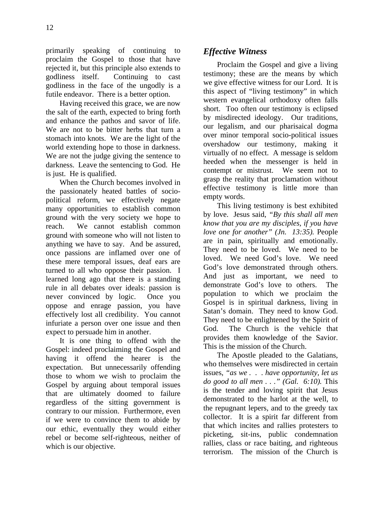primarily speaking of continuing to proclaim the Gospel to those that have rejected it, but this principle also extends to godliness itself. Continuing to cast godliness in the face of the ungodly is a futile endeavor. There is a better option.

Having received this grace, we are now the salt of the earth, expected to bring forth and enhance the pathos and savor of life. We are not to be bitter herbs that turn a stomach into knots. We are the light of the world extending hope to those in darkness. We are not the judge giving the sentence to darkness. Leave the sentencing to God. He is just. He is qualified.

When the Church becomes involved in the passionately heated battles of sociopolitical reform, we effectively negate many opportunities to establish common ground with the very society we hope to reach. We cannot establish common ground with someone who will not listen to anything we have to say. And be assured, once passions are inflamed over one of these mere temporal issues, deaf ears are turned to all who oppose their passion. I learned long ago that there is a standing rule in all debates over ideals: passion is never convinced by logic. Once you oppose and enrage passion, you have effectively lost all credibility. You cannot infuriate a person over one issue and then expect to persuade him in another.

It is one thing to offend with the Gospel: indeed proclaiming the Gospel and having it offend the hearer is the expectation. But unnecessarily offending those to whom we wish to proclaim the Gospel by arguing about temporal issues that are ultimately doomed to failure regardless of the sitting government is contrary to our mission. Furthermore, even if we were to convince them to abide by our ethic, eventually they would either rebel or become self-righteous, neither of which is our objective.

## *Effective Witness*

Proclaim the Gospel and give a living testimony; these are the means by which we give effective witness for our Lord. It is this aspect of "living testimony" in which western evangelical orthodoxy often falls short. Too often our testimony is eclipsed by misdirected ideology. Our traditions, our legalism, and our pharisaical dogma over minor temporal socio-political issues overshadow our testimony, making it virtually of no effect. A message is seldom heeded when the messenger is held in contempt or mistrust. We seem not to grasp the reality that proclamation without effective testimony is little more than empty words.

This living testimony is best exhibited by love. Jesus said, *"By this shall all men know that you are my disciples, if you have love one for another" (Jn. 13:35).* People are in pain, spiritually and emotionally. They need to be loved. We need to be loved. We need God's love. We need God's love demonstrated through others. And just as important, we need to demonstrate God's love to others. The population to which we proclaim the Gospel is in spiritual darkness, living in Satan's domain. They need to know God. They need to be enlightened by the Spirit of God. The Church is the vehicle that provides them knowledge of the Savior. This is the mission of the Church.

The Apostle pleaded to the Galatians, who themselves were misdirected in certain issues, *"as we . . . have opportunity, let us do good to all men . . ." (Gal. 6:10).* This is the tender and loving spirit that Jesus demonstrated to the harlot at the well, to the repugnant lepers, and to the greedy tax collector. It is a spirit far different from that which incites and rallies protesters to picketing, sit-ins, public condemnation rallies, class or race baiting, and righteous terrorism. The mission of the Church is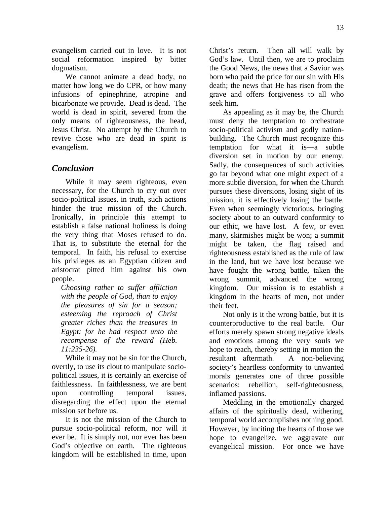evangelism carried out in love. It is not social reformation inspired by bitter dogmatism.

We cannot animate a dead body, no matter how long we do CPR, or how many infusions of epinephrine, atropine and bicarbonate we provide. Dead is dead. The world is dead in spirit, severed from the only means of righteousness, the head, Jesus Christ. No attempt by the Church to revive those who are dead in spirit is evangelism.

### *Conclusion*

While it may seem righteous, even necessary, for the Church to cry out over socio-political issues, in truth, such actions hinder the true mission of the Church. Ironically, in principle this attempt to establish a false national holiness is doing the very thing that Moses refused to do. That is, to substitute the eternal for the temporal. In faith, his refusal to exercise his privileges as an Egyptian citizen and aristocrat pitted him against his own people.

*Choosing rather to suffer affliction with the people of God, than to enjoy the pleasures of sin for a season; esteeming the reproach of Christ greater riches than the treasures in Egypt: for he had respect unto the recompense of the reward (Heb. 11:235-26).*

While it may not be sin for the Church, overtly, to use its clout to manipulate sociopolitical issues, it is certainly an exercise of faithlessness. In faithlessness, we are bent upon controlling temporal issues, disregarding the effect upon the eternal mission set before us.

It is not the mission of the Church to pursue socio-political reform, nor will it ever be. It is simply not, nor ever has been God's objective on earth. The righteous kingdom will be established in time, upon

Christ's return. Then all will walk by God's law. Until then, we are to proclaim the Good News, the news that a Savior was born who paid the price for our sin with His death; the news that He has risen from the grave and offers forgiveness to all who seek him.

As appealing as it may be, the Church must deny the temptation to orchestrate socio-political activism and godly nationbuilding. The Church must recognize this temptation for what it is—a subtle diversion set in motion by our enemy. Sadly, the consequences of such activities go far beyond what one might expect of a more subtle diversion, for when the Church pursues these diversions, losing sight of its mission, it is effectively losing the battle. Even when seemingly victorious, bringing society about to an outward conformity to our ethic, we have lost. A few, or even many, skirmishes might be won; a summit might be taken, the flag raised and righteousness established as the rule of law in the land, but we have lost because we have fought the wrong battle, taken the wrong summit, advanced the wrong kingdom. Our mission is to establish a kingdom in the hearts of men, not under their feet.

Not only is it the wrong battle, but it is counterproductive to the real battle. Our efforts merely spawn strong negative ideals and emotions among the very souls we hope to reach, thereby setting in motion the resultant aftermath. A non-believing society's heartless conformity to unwanted morals generates one of three possible scenarios: rebellion, self-righteousness, inflamed passions.

Meddling in the emotionally charged affairs of the spiritually dead, withering, temporal world accomplishes nothing good. However, by inciting the hearts of those we hope to evangelize, we aggravate our evangelical mission. For once we have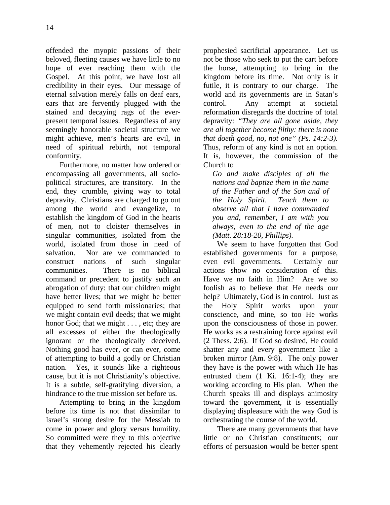offended the myopic passions of their beloved, fleeting causes we have little to no hope of ever reaching them with the Gospel. At this point, we have lost all credibility in their eyes. Our message of eternal salvation merely falls on deaf ears, ears that are fervently plugged with the stained and decaying rags of the everpresent temporal issues. Regardless of any seemingly honorable societal structure we might achieve, men's hearts are evil, in need of spiritual rebirth, not temporal conformity.

Furthermore, no matter how ordered or encompassing all governments, all sociopolitical structures, are transitory. In the end, they crumble, giving way to total depravity. Christians are charged to go out among the world and evangelize, to establish the kingdom of God in the hearts of men, not to cloister themselves in singular communities, isolated from the world, isolated from those in need of salvation. Nor are we commanded to construct nations of such singular communities. There is no biblical command or precedent to justify such an abrogation of duty: that our children might have better lives; that we might be better equipped to send forth missionaries; that we might contain evil deeds; that we might honor God; that we might . . . , etc; they are all excesses of either the theologically ignorant or the theologically deceived. Nothing good has ever, or can ever, come of attempting to build a godly or Christian nation. Yes, it sounds like a righteous cause, but it is not Christianity's objective. It is a subtle, self-gratifying diversion, a hindrance to the true mission set before us.

Attempting to bring in the kingdom before its time is not that dissimilar to Israel's strong desire for the Messiah to come in power and glory versus humility. So committed were they to this objective that they vehemently rejected his clearly prophesied sacrificial appearance. Let us not be those who seek to put the cart before the horse, attempting to bring in the kingdom before its time. Not only is it futile, it is contrary to our charge. The world and its governments are in Satan's control. Any attempt at societal reformation disregards the doctrine of total depravity: *"They are all gone aside, they are all together become filthy: there is none that doeth good, no, not one" (Ps. 14:2-3).* Thus, reform of any kind is not an option. It is, however, the commission of the Church to

*Go and make disciples of all the nations and baptize them in the name of the Father and of the Son and of the Holy Spirit. Teach them to observe all that I have commanded you and, remember, I am with you always, even to the end of the age (Matt. 28:18-20, Phillips).*

We seem to have forgotten that God established governments for a purpose, even evil governments. Certainly our actions show no consideration of this. Have we no faith in Him? Are we so foolish as to believe that He needs our help? Ultimately, God is in control. Just as the Holy Spirit works upon your conscience, and mine, so too He works upon the consciousness of those in power. He works as a restraining force against evil (2 Thess. 2:6). If God so desired, He could shatter any and every government like a broken mirror (Am. 9:8). The only power they have is the power with which He has entrusted them (1 Ki. 16:1-4); they are working according to His plan. When the Church speaks ill and displays animosity toward the government, it is essentially displaying displeasure with the way God is orchestrating the course of the world.

There are many governments that have little or no Christian constituents; our efforts of persuasion would be better spent